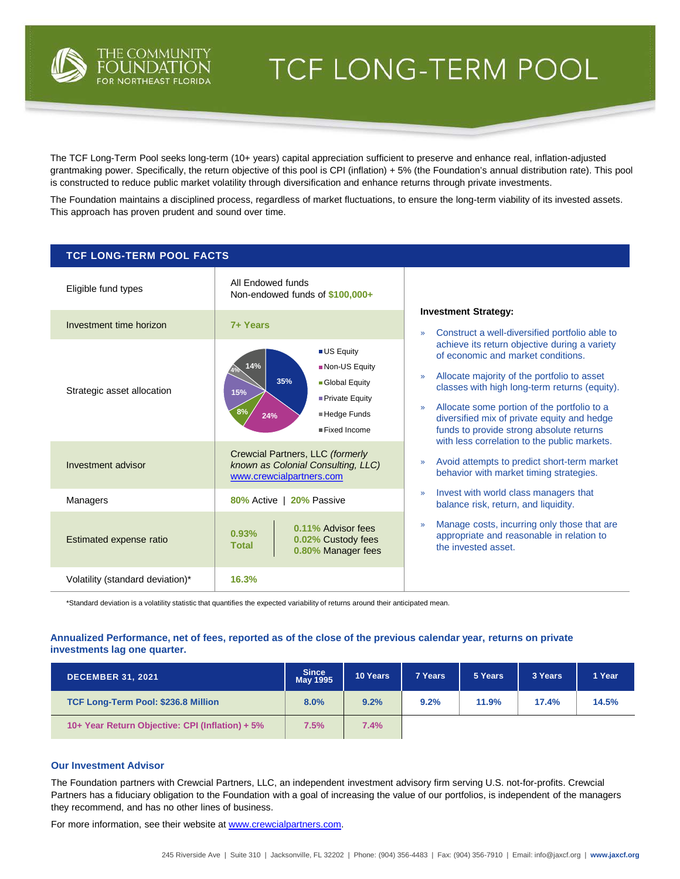

**TCF LONG-TERM POOL FACTS**

# **TCF LONG-TERM POOL**

The TCF Long-Term Pool seeks long-term (10+ years) capital appreciation sufficient to preserve and enhance real, inflation-adjusted grantmaking power. Specifically, the return objective of this pool is CPI (inflation) + 5% (the Foundation's annual distribution rate). This pool is constructed to reduce public market volatility through diversification and enhance returns through private investments.

The Foundation maintains a disciplined process, regardless of market fluctuations, to ensure the long-term viability of its invested assets. This approach has proven prudent and sound over time.

| IUI LUNG-ILINII FUUL FAUTS       |                                                                                                                                         |                                                                                                                                                                                                                                                                                                                                                         |  |  |  |  |  |
|----------------------------------|-----------------------------------------------------------------------------------------------------------------------------------------|---------------------------------------------------------------------------------------------------------------------------------------------------------------------------------------------------------------------------------------------------------------------------------------------------------------------------------------------------------|--|--|--|--|--|
| Eligible fund types              | All Endowed funds<br>Non-endowed funds of \$100,000+                                                                                    |                                                                                                                                                                                                                                                                                                                                                         |  |  |  |  |  |
| Investment time horizon          | 7+ Years                                                                                                                                | <b>Investment Strategy:</b><br>Construct a well-diversified portfolio able to<br>$\mathcal{D}$                                                                                                                                                                                                                                                          |  |  |  |  |  |
| Strategic asset allocation       | <b>US Equity</b><br>14%<br>Non-US Equity<br>35%<br>Global Equity<br>15%<br>Private Equity<br>8%<br>■ Hedge Funds<br>24%<br>Fixed Income | achieve its return objective during a variety<br>of economic and market conditions.<br>Allocate majority of the portfolio to asset<br>$\gg$<br>classes with high long-term returns (equity).<br>Allocate some portion of the portfolio to a<br>$\mathcal{D}$<br>diversified mix of private equity and hedge<br>funds to provide strong absolute returns |  |  |  |  |  |
| Investment advisor               | Crewcial Partners, LLC (formerly<br>known as Colonial Consulting, LLC)<br>www.crewcialpartners.com                                      | with less correlation to the public markets.<br>Avoid attempts to predict short-term market<br>$\gg$<br>behavior with market timing strategies.                                                                                                                                                                                                         |  |  |  |  |  |
| <b>Managers</b>                  | 80% Active   20% Passive                                                                                                                | Invest with world class managers that<br>$\mathcal{D}$<br>balance risk, return, and liquidity.                                                                                                                                                                                                                                                          |  |  |  |  |  |
| Estimated expense ratio          | 0.11% Advisor fees<br>0.93%<br>0.02% Custody fees<br><b>Total</b><br>0.80% Manager fees                                                 | Manage costs, incurring only those that are<br>$\mathcal{D}$<br>appropriate and reasonable in relation to<br>the invested asset.                                                                                                                                                                                                                        |  |  |  |  |  |
| Volatility (standard deviation)* | 16.3%                                                                                                                                   |                                                                                                                                                                                                                                                                                                                                                         |  |  |  |  |  |

\*Standard deviation is a volatility statistic that quantifies the expected variability of returns around their anticipated mean.

# **Annualized Performance, net of fees, reported as of the close of the previous calendar year, returns on private investments lag one quarter.**

| <b>DECEMBER 31, 2021</b>                        | <b>Since</b><br><b>May 1995</b> | 10 Years | 7 Years | 5 Years | 3 Years | 1 Year |
|-------------------------------------------------|---------------------------------|----------|---------|---------|---------|--------|
| <b>TCF Long-Term Pool: \$236.8 Million</b>      | 8.0%                            | 9.2%     | 9.2%    | 11.9%   | 17.4%   | 14.5%  |
| 10+ Year Return Objective: CPI (Inflation) + 5% | 7.5%                            | 7.4%     |         |         |         |        |

#### **Our Investment Advisor**

The Foundation partners with Crewcial Partners, LLC, an independent investment advisory firm serving U.S. not-for-profits. Crewcial Partners has a fiduciary obligation to the Foundation with a goal of increasing the value of our portfolios, is independent of the managers they recommend, and has no other lines of business.

For more information, see their website at [www.crewcialpartners.com](http://www.crewcialpartners.com/).